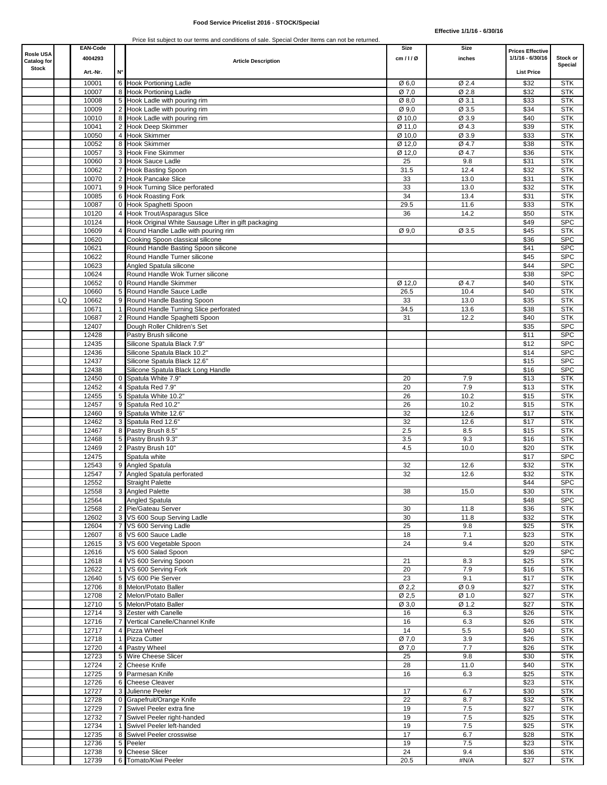| <b>Rosle USA</b><br>Catalog for |    | <b>EAN-Code</b><br>4004293 |                | <b>Article Description</b>                                  | Size<br>cm/1/Ø              | Size<br>inches | <b>Prices Effective</b><br>1/1/16 - 6/30/16 | Stock or<br>Special      |
|---------------------------------|----|----------------------------|----------------|-------------------------------------------------------------|-----------------------------|----------------|---------------------------------------------|--------------------------|
| <b>Stock</b>                    |    | Art. Nr.                   | N°             |                                                             |                             |                | <b>List Price</b>                           |                          |
|                                 |    | 10001                      |                | 6 Hook Portioning Ladle                                     | Ø6,0                        | Ø 2.4          | \$32                                        | STK                      |
|                                 |    | 10007                      |                | 8 Hook Portioning Ladle                                     | Ø 7,0                       | Ø 2.8          | \$32                                        | <b>STK</b>               |
|                                 |    | 10008                      |                | 5 Hook Ladle with pouring rim                               | Ø8,0                        | Ø 3.1          | \$33                                        | <b>STK</b>               |
|                                 |    | 10009                      |                | 2 Hook Ladle with pouring rim                               | Ø9.0                        | Ø 3.5          | \$34                                        | <b>STK</b>               |
|                                 |    | 10010                      |                | 8 Hook Ladle with pouring rim                               | Ø 10,0                      | Ø 3.9          | \$40                                        | <b>STK</b>               |
|                                 |    | 10041<br>10050             |                | 2 Hook Deep Skimmer<br>4 Hook Skimmer                       | Ø 11,0<br>Ø 10,0            | Ø4.3<br>Ø 3.9  | \$39<br>\$33                                | <b>STK</b><br><b>STK</b> |
|                                 |    | 10052                      |                | 8 Hook Skimmer                                              | Ø 12,0                      | Ø 4.7          | \$38                                        | <b>STK</b>               |
|                                 |    | 10057                      |                | 3 Hook Fine Skimmer                                         | $\overline{\emptyset}$ 12,0 | Ø 4.7          | \$36                                        | <b>STK</b>               |
|                                 |    | 10060                      |                | 3 Hook Sauce Ladle                                          | 25                          | 9.8            | \$31                                        | <b>STK</b>               |
|                                 |    | 10062                      |                | 7 Hook Basting Spoon                                        | 31.5                        | 12.4           | \$32                                        | <b>STK</b>               |
|                                 |    | 10070                      |                | 2 Hook Pancake Slice                                        | 33                          | 13.0           | \$31                                        | <b>STK</b>               |
|                                 |    | 10071                      |                | 9 Hook Turning Slice perforated                             | 33                          | 13.0           | \$32                                        | <b>STK</b>               |
|                                 |    | 10085<br>10087             |                | 6 Hook Roasting Fork<br>0 Hook Spaghetti Spoon              | 34<br>29.5                  | 13.4<br>11.6   | \$31<br>\$33                                | <b>STK</b><br><b>STK</b> |
|                                 |    | 10120                      | 4 <sup>1</sup> | <b>Hook Trout/Asparagus Slice</b>                           | 36                          | 14.2           | \$50                                        | <b>STK</b>               |
|                                 |    | 10124                      |                | Hook Original White Sausage Lifter in gift packaging        |                             |                | \$49                                        | <b>SPC</b>               |
|                                 |    | 10609                      |                | Round Handle Ladle with pouring rim                         | Ø9.0                        | Ø 3.5          | \$45                                        | <b>STK</b>               |
|                                 |    | 10620                      |                | Cooking Spoon classical silicone                            |                             |                | \$36                                        | <b>SPC</b>               |
|                                 |    | 10621                      |                | Round Handle Basting Spoon silicone                         |                             |                | \$41                                        | <b>SPC</b>               |
|                                 |    | 10622                      |                | Round Handle Turner silicone                                |                             |                | \$45                                        | <b>SPC</b>               |
|                                 |    | 10623<br>10624             |                | Angled Spatula silicone<br>Round Handle Wok Turner silicone |                             |                | \$44<br>\$38                                | <b>SPC</b><br><b>SPC</b> |
|                                 |    | 10652                      |                | 0 Round Handle Skimmer                                      | Ø 12,0                      | Ø 4.7          | \$40                                        | <b>STK</b>               |
|                                 |    | 10660                      |                | 5 Round Handle Sauce Ladle                                  | 26.5                        | 10.4           | \$40                                        | <b>STK</b>               |
|                                 | LQ | 10662                      |                | 9 Round Handle Basting Spoon                                | 33                          | 13.0           | \$35                                        | <b>STK</b>               |
|                                 |    | 10671                      | 1 <sup>1</sup> | Round Handle Turning Slice perforated                       | 34.5                        | 13.6           | \$38                                        | <b>STK</b>               |
|                                 |    | 10687                      |                | 2 Round Handle Spaghetti Spoon                              | 31                          | 12.2           | \$40                                        | <b>STK</b>               |
|                                 |    | 12407                      |                | Dough Roller Children's Set                                 |                             |                | \$35                                        | <b>SPC</b>               |
|                                 |    | 12428                      |                | Pastry Brush silicone                                       |                             |                | \$11                                        | <b>SPC</b>               |
|                                 |    | 12435<br>12436             |                | Silicone Spatula Black 7.9"<br>Silicone Spatula Black 10.2" |                             |                | \$12<br>\$14                                | <b>SPC</b><br><b>SPC</b> |
|                                 |    | 12437                      |                | Silicone Spatula Black 12.6"                                |                             |                | \$15                                        | <b>SPC</b>               |
|                                 |    | 12438                      |                | Silicone Spatula Black Long Handle                          |                             |                | \$16                                        | <b>SPC</b>               |
|                                 |    | 12450                      |                | 0 Spatula White 7.9"                                        | 20                          | 7.9            | \$13                                        | <b>STK</b>               |
|                                 |    | 12452                      |                | 4 Spatula Red 7.9"                                          | 20                          | 7.9            | \$13                                        | <b>STK</b>               |
|                                 |    | 12455                      |                | 5 Spatula White 10.2"                                       | 26                          | 10.2           | \$15                                        | <b>STK</b>               |
|                                 |    | 12457                      |                | 9 Spatula Red 10.2"                                         | 26                          | 10.2           | \$15                                        | <b>STK</b>               |
|                                 |    | 12460                      |                | 9 Spatula White 12.6"                                       | 32                          | 12.6           | \$17                                        | <b>STK</b>               |
|                                 |    | 12462<br>12467             |                | 3 Spatula Red 12.6"<br>8 Pastry Brush 8.5"                  | 32<br>2.5                   | 12.6<br>8.5    | \$17<br>\$15                                | <b>STK</b><br><b>STK</b> |
|                                 |    | 12468                      |                | 5 Pastry Brush 9.3"                                         | 3.5                         | 9.3            | \$16                                        | <b>STK</b>               |
|                                 |    | 12469                      |                | 2 Pastry Brush 10"                                          | 4.5                         | 10.0           | \$20                                        | <b>STK</b>               |
|                                 |    | 12475                      |                | Spatula white                                               |                             |                | \$17                                        | <b>SPC</b>               |
|                                 |    | 12543                      |                | 9 Angled Spatula                                            | 32                          | 12.6           | \$32                                        | <b>STK</b>               |
|                                 |    | 12547                      |                | Angled Spatula perforated                                   | 32                          | 12.6           | \$32                                        | <b>STK</b>               |
|                                 |    | 12552                      |                | <b>Straight Palette</b>                                     |                             |                | \$44                                        | <b>SPC</b><br><b>STK</b> |
|                                 |    | 12558<br>12564             |                | 3 Angled Palette<br>Angled Spatula                          | 38                          | 15.0           | \$30<br>\$48                                | <b>SPC</b>               |
|                                 |    | 12568                      |                | 2 Pie/Gateau Server                                         | 30                          | 11.8           | \$36                                        | <b>STK</b>               |
|                                 |    | 12602                      |                | 3 VS 600 Soup Serving Ladle                                 | 30                          | 11.8           | \$32                                        | <b>STK</b>               |
|                                 |    | 12604                      |                | 7 VS 600 Serving Ladle                                      | 25                          | 9.8            | \$25                                        | <b>STK</b>               |
|                                 |    | 12607                      |                | 8 VS 600 Sauce Ladle                                        | 18                          | 7.1            | \$23                                        | <b>STK</b>               |
|                                 |    | 12615                      |                | 3 VS 600 Vegetable Spoon                                    | 24                          | 9.4            | \$20                                        | <b>STK</b>               |
|                                 |    | 12616                      |                | VS 600 Salad Spoon                                          |                             |                | \$29                                        | <b>SPC</b>               |
|                                 |    | 12618<br>12622             |                | 4 VS 600 Serving Spoon<br>1 VS 600 Serving Fork             | 21<br>20                    | 8.3<br>7.9     | \$25<br>\$16                                | <b>STK</b><br><b>STK</b> |
|                                 |    | 12640                      |                | 5 VS 600 Pie Server                                         | 23                          | 9.1            | \$17                                        | <b>STK</b>               |
|                                 |    | 12706                      |                | 8 Melon/Potato Baller                                       | Ø2,2                        | Ø0.9           | \$27                                        | <b>STK</b>               |
|                                 |    | 12708                      |                | 2 Melon/Potato Baller                                       | Ø 2,5                       | Ø 1.0          | \$27                                        | <b>STK</b>               |
|                                 |    | 12710                      |                | 5 Melon/Potato Baller                                       | Ø3,0                        | Ø 1.2          | \$27                                        | <b>STK</b>               |
|                                 |    | 12714                      |                | 3 Zester with Canelle                                       | 16                          | 6.3            | \$26                                        | <b>STK</b>               |
|                                 |    | 12716                      |                | 7 Vertical Canelle/Channel Knife                            | 16                          | 6.3            | \$26                                        | <b>STK</b>               |
|                                 |    | 12717                      |                | 4 Pizza Wheel                                               | 14                          | 5.5            | \$40                                        | <b>STK</b>               |
|                                 |    | 12718<br>12720             |                | 1 Pizza Cutter<br>4 Pastry Wheel                            | Ø 7,0<br>Ø 7,0              | 3.9<br>7.7     | \$26<br>\$26                                | <b>STK</b><br><b>STK</b> |
|                                 |    | 12723                      |                | 5 Wire Cheese Slicer                                        | 25                          | 9.8            | \$30                                        | <b>STK</b>               |
|                                 |    | 12724                      |                | 2 Cheese Knife                                              | 28                          | 11.0           | \$40                                        | <b>STK</b>               |
|                                 |    | 12725                      |                | 9 Parmesan Knife                                            | 16                          | 6.3            | \$25                                        | <b>STK</b>               |
|                                 |    | 12726                      |                | 6 Cheese Cleaver                                            |                             |                | \$23                                        | <b>STK</b>               |
|                                 |    | 12727                      |                | 3 Julienne Peeler                                           | 17                          | 6.7            | \$30                                        | <b>STK</b>               |
|                                 |    | 12728                      |                | 0 Grapefruit/Orange Knife                                   | 22                          | 8.7            | \$32                                        | <b>STK</b>               |
|                                 |    | 12729                      |                | 7 Swivel Peeler extra fine                                  | 19                          | 7.5            | \$27                                        | <b>STK</b>               |
|                                 |    | 12732<br>12734             |                | 7 Swivel Peeler right-handed<br>1 Swivel Peeler left-handed | 19<br>19                    | 7.5<br>7.5     | \$25<br>\$25                                | <b>STK</b><br><b>STK</b> |
|                                 |    | 12735                      |                | 8 Swivel Peeler crosswise                                   | 17                          | 6.7            | \$28                                        | <b>STK</b>               |
|                                 |    | 12736                      |                | 5 Peeler                                                    | 19                          | 7.5            | \$23                                        | <b>STK</b>               |
|                                 |    | 12738                      |                | 9 Cheese Slicer                                             | 24                          | 9.4            | \$36                                        | STK                      |
|                                 |    | 12739                      |                | 6 Tomato/Kiwi Peeler                                        | 20.5                        | #N/A           | \$27                                        | <b>STK</b>               |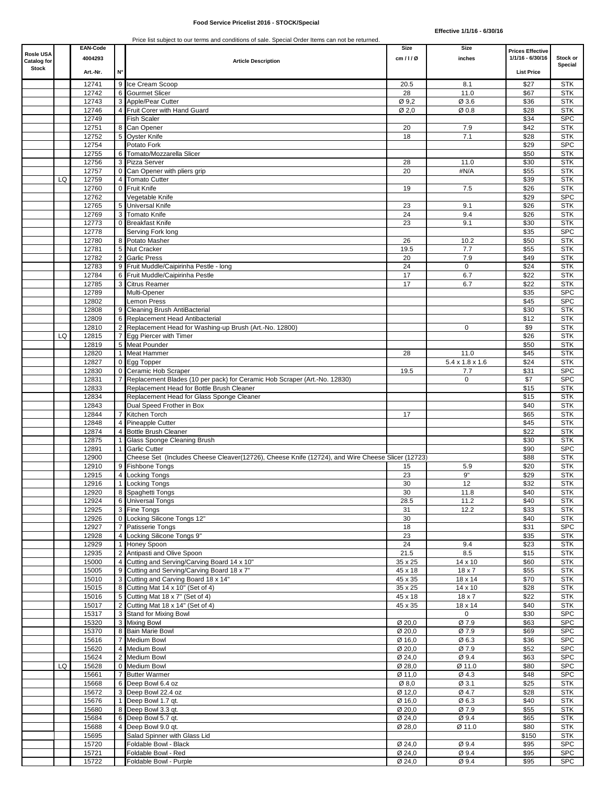| <b>Rosle USA</b>   |    | <b>EAN-Code</b> |                |                                                                                                  | Size                        | Size                        | <b>Prices Effective</b> |                          |
|--------------------|----|-----------------|----------------|--------------------------------------------------------------------------------------------------|-----------------------------|-----------------------------|-------------------------|--------------------------|
| <b>Catalog for</b> |    | 4004293         |                | <b>Article Description</b>                                                                       | cm/1/Ø                      | inches                      | 1/1/16 - 6/30/16        | Stock or                 |
| <b>Stock</b>       |    | Art. Nr.        | N۰             |                                                                                                  |                             |                             | <b>List Price</b>       | Special                  |
|                    |    |                 |                |                                                                                                  |                             |                             |                         |                          |
|                    |    | 12741           |                | 9 Ice Cream Scoop                                                                                | 20.5                        | 8.1                         | \$27                    | <b>STK</b>               |
|                    |    | 12742           |                | <b>6</b> Gourmet Slicer                                                                          | 28                          | 11.0                        | \$67                    | <b>STK</b>               |
|                    |    | 12743<br>12746  |                | 3 Apple/Pear Cutter<br>Fruit Corer with Hand Guard                                               | Ø 9,2<br>Ø 2,0              | Ø 3.6<br>Ø0.8               | \$36<br>\$28            | <b>STK</b><br><b>STK</b> |
|                    |    | 12749           |                | <b>Fish Scaler</b>                                                                               |                             |                             | \$34                    | <b>SPC</b>               |
|                    |    | 12751           | 8              | Can Opener                                                                                       | 20                          | 7.9                         | \$42                    | <b>STK</b>               |
|                    |    | 12752           | 5.             | <b>Oyster Knife</b>                                                                              | 18                          | 7.1                         | \$28                    | <b>STK</b>               |
|                    |    | 12754           |                | Potato Fork                                                                                      |                             |                             | \$29                    | <b>SPC</b>               |
|                    |    | 12755           |                | Tomato/Mozzarella Slicer                                                                         |                             |                             | \$50                    | <b>STK</b>               |
|                    |    | 12756           |                | 3 Pizza Server                                                                                   | 28                          | 11.0                        | \$30                    | <b>STK</b>               |
|                    |    | 12757           | $\overline{0}$ | Can Opener with pliers grip                                                                      | 20                          | #N/A                        | \$55                    | <b>STK</b>               |
|                    | LQ | 12759           | $\overline{4}$ | <b>Tomato Cutter</b>                                                                             |                             |                             | \$39                    | <b>STK</b>               |
|                    |    | 12760           |                | 0 Fruit Knife                                                                                    | 19                          | 7.5                         | \$26                    | <b>STK</b>               |
|                    |    | 12762           |                | Vegetable Knife                                                                                  |                             |                             | \$29                    | <b>SPC</b>               |
|                    |    | 12765           |                | 5 Universal Knife                                                                                | 23                          | 9.1                         | \$26                    | <b>STK</b>               |
|                    |    | 12769           |                | 3 Tomato Knife                                                                                   | 24                          | 9.4                         | \$26                    | <b>STK</b>               |
|                    |    | 12773           |                | 0 Breakfast Knife                                                                                | 23                          | 9.1                         | \$30                    | <b>STK</b>               |
|                    |    | 12778           |                | Serving Fork long                                                                                |                             |                             | \$35                    | <b>SPC</b>               |
|                    |    | 12780           |                | 8 Potato Masher                                                                                  | 26                          | 10.2                        | \$50                    | <b>STK</b>               |
|                    |    | 12781           |                | 5 Nut Cracker                                                                                    | 19.5                        | 7.7                         | \$55                    | <b>STK</b>               |
|                    |    | 12782           |                | 2 Garlic Press                                                                                   | 20                          | 7.9                         | \$49                    | <b>STK</b>               |
|                    |    | 12783           |                | 9 Fruit Muddle/Caipirinha Pestle - long                                                          | 24                          | $\mathbf 0$                 | \$24                    | <b>STK</b>               |
|                    |    | 12784           |                | 6 Fruit Muddle/Caipirinha Pestle                                                                 | 17                          | 6.7                         | \$22                    | <b>STK</b>               |
|                    |    | 12785           |                | 3 Citrus Reamer                                                                                  | 17                          | 6.7                         | \$22                    | <b>STK</b>               |
|                    |    | 12789           |                | Multi-Opener                                                                                     |                             |                             | \$35                    | <b>SPC</b>               |
|                    |    | 12802           |                | Lemon Press                                                                                      |                             |                             | \$45                    | <b>SPC</b>               |
|                    |    | 12808           |                | 9 Cleaning Brush AntiBacterial                                                                   |                             |                             | \$30                    | <b>STK</b>               |
|                    |    | 12809           |                | 6 Replacement Head Antibacterial                                                                 |                             |                             | \$12                    | <b>STK</b>               |
|                    |    | 12810           |                | 2 Replacement Head for Washing-up Brush (Art.-No. 12800)                                         |                             | $\mathbf 0$                 | \$9                     | <b>STK</b>               |
|                    | LQ | 12815           |                | 7 Eqq Piercer with Timer                                                                         |                             |                             | \$26                    | <b>STK</b>               |
|                    |    | 12819           |                | 5 Meat Pounder                                                                                   |                             |                             | \$50                    | <b>STK</b>               |
|                    |    | 12820           |                | 1 Meat Hammer                                                                                    | 28                          | 11.0                        | \$45                    | <b>STK</b>               |
|                    |    | 12827           |                | 0 Egg Topper                                                                                     |                             | $5.4 \times 1.8 \times 1.6$ | \$24                    | <b>STK</b>               |
|                    |    | 12830           |                | 0 Ceramic Hob Scraper                                                                            | 19.5                        | 7.7                         | \$31                    | <b>SPC</b>               |
|                    |    | 12831           |                | 7 Replacement Blades (10 per pack) for Ceramic Hob Scraper (Art.-No. 12830)                      |                             | $\mathbf 0$                 | \$7                     | <b>SPC</b>               |
|                    |    | 12833           |                | Replacement Head for Bottle Brush Cleaner                                                        |                             |                             | \$15                    | <b>STK</b>               |
|                    |    | 12834           |                | Replacement Head for Glass Sponge Cleaner                                                        |                             |                             | \$15                    | <b>STK</b>               |
|                    |    | 12843           |                | Dual Speed Frother in Box                                                                        |                             |                             | \$40                    | <b>STK</b>               |
|                    |    | 12844           |                | Kitchen Torch                                                                                    | 17                          |                             | \$65                    | <b>STK</b>               |
|                    |    | 12848           |                | <b>Pineapple Cutter</b>                                                                          |                             |                             | \$45                    | <b>STK</b>               |
|                    |    | 12874           |                | <b>Bottle Brush Cleaner</b>                                                                      |                             |                             | \$22                    | <b>STK</b>               |
|                    |    | 12875           |                | Glass Sponge Cleaning Brush                                                                      |                             |                             | \$30                    | <b>STK</b>               |
|                    |    | 12891           |                | <b>Garlic Cutter</b>                                                                             |                             |                             | \$90                    | <b>SPC</b>               |
|                    |    | 12900<br>12910  |                | Cheese Set (Includes Cheese Cleaver(12726), Cheese Knife (12724), and Wire Cheese Slicer (12723) |                             |                             | \$88                    | <b>STK</b><br><b>STK</b> |
|                    |    | 12915           |                | 9 Fishbone Tongs<br><b>Locking Tongs</b>                                                         | 15<br>23                    | 5.9<br>9"                   | \$20<br>\$29            | <b>STK</b>               |
|                    |    | 12916           |                |                                                                                                  | 30                          | 12                          | \$32                    | <b>STK</b>               |
|                    |    |                 |                | Locking Tongs                                                                                    |                             |                             |                         |                          |
|                    |    | 12920<br>12924  |                | 8 Spaghetti Longs<br>6 Universal Tongs                                                           | 30<br>28.5                  | 11.8<br>11.2                | \$40<br>\$40            | SIK<br><b>STK</b>        |
|                    |    | 12925           |                | 3 Fine Tongs                                                                                     | 31                          | 12.2                        | \$33                    | <b>STK</b>               |
|                    |    | 12926           |                | 0 Locking Silicone Tongs 12"                                                                     | 30                          |                             | \$40                    | <b>STK</b>               |
|                    |    | 12927           |                | Patisserie Tongs                                                                                 | 18                          |                             | \$31                    | <b>SPC</b>               |
|                    |    | 12928           |                | 4 Locking Silicone Tongs 9"                                                                      | 23                          |                             | \$35                    | <b>STK</b>               |
|                    |    | 12929           |                | 1 Honey Spoon                                                                                    | 24                          | 9.4                         | \$23                    | <b>STK</b>               |
|                    |    | 12935           |                | 2 Antipasti and Olive Spoon                                                                      | 21.5                        | 8.5                         | \$15                    | <b>STK</b>               |
|                    |    | 15000           |                | 4 Cutting and Serving/Carving Board 14 x 10"                                                     | 35 x 25                     | 14 x 10                     | \$60                    | <b>STK</b>               |
|                    |    | 15005           |                | 9 Cutting and Serving/Carving Board 18 x 7"                                                      | 45 x 18                     | 18 x 7                      | \$55                    | <b>STK</b>               |
|                    |    | 15010           |                | 3 Cutting and Carving Board 18 x 14"                                                             | 45 x 35                     | 18 x 14                     | \$70                    | <b>STK</b>               |
|                    |    | 15015           |                | 8 Cutting Mat 14 x 10" (Set of 4)                                                                | 35 x 25                     | 14 x 10                     | \$28                    | <b>STK</b>               |
|                    |    | 15016           |                | 5 Cutting Mat 18 x 7" (Set of 4)                                                                 | 45 x 18                     | $18 \times 7$               | \$22                    | <b>STK</b>               |
|                    |    | 15017           |                | Cutting Mat 18 x 14" (Set of 4)                                                                  | 45 x 35                     | 18 x 14                     | \$40                    | <b>STK</b>               |
|                    |    | 15317           |                | 3 Stand for Mixing Bowl                                                                          |                             | $\mathsf{O}$                | \$30                    | <b>SPC</b>               |
|                    |    | 15320           |                | 3 Mixing Bowl                                                                                    | $\varnothing$ 20,0          | Ø 7.9                       | \$63                    | <b>SPC</b>               |
|                    |    | 15370           |                | 8 Bain Marie Bowl                                                                                | $\overline{\emptyset}$ 20,0 | Ø 7.9                       | \$69                    | <b>SPC</b>               |
|                    |    | 15616           |                | Medium Bowl                                                                                      | Ø 16,0                      | Ø6.3                        | \$36                    | <b>SPC</b>               |
|                    |    | 15620           | 4              | Medium Bowl                                                                                      | Ø 20,0                      | Ø 7.9                       | \$52                    | <b>SPC</b>               |
|                    |    | 15624           |                | 2 Medium Bowl                                                                                    | Ø 24,0                      | Ø9.4                        | \$63                    | <b>SPC</b>               |
|                    | LQ | 15628           |                | 0 Medium Bowl                                                                                    | Ø 28,0                      | Ø 11.0                      | \$80                    | <b>SPC</b>               |
|                    |    | 15661           |                | 7 Butter Warmer                                                                                  | Ø 11,0                      | Ø4.3                        | \$48                    | <b>SPC</b>               |
|                    |    | 15668           |                | 6 Deep Bowl 6.4 oz                                                                               | $\varnothing$ 8,0           | Ø 3.1                       | \$25                    | <b>STK</b>               |
|                    |    | 15672           |                | 3 Deep Bowl 22.4 oz                                                                              | Ø 12,0                      | Ø 4.7                       | \$28                    | <b>STK</b>               |
|                    |    | 15676           |                | Deep Bowl 1.7 qt.                                                                                | Ø 16,0                      | Ø6.3                        | \$40                    | <b>STK</b>               |
|                    |    | 15680           |                | 8 Deep Bowl 3.3 qt.                                                                              | Ø 20,0                      | Ø 7.9                       | \$55                    | <b>STK</b>               |
|                    |    | 15684           |                | 6 Deep Bowl 5.7 qt.                                                                              | Ø 24,0                      | Ø9.4                        | \$65                    | <b>STK</b>               |
|                    |    | 15688           |                | 4 Deep Bowl 9.0 qt.                                                                              | Ø 28,0                      | Ø 11.0                      | \$80                    | <b>STK</b>               |
|                    |    | 15695           |                | Salad Spinner with Glass Lid                                                                     |                             |                             | \$150                   | <b>STK</b>               |
|                    |    | 15720           |                | Foldable Bowl - Black                                                                            | Ø 24,0                      | Ø9.4                        | \$95                    | <b>SPC</b>               |
|                    |    | 15721           |                | Foldable Bowl - Red                                                                              | Ø 24,0                      | Ø9.4                        | \$95                    | <b>SPC</b>               |
|                    |    | 15722           |                | Foldable Bowl - Purple                                                                           | Ø 24,0                      | Ø9.4                        | \$95                    | <b>SPC</b>               |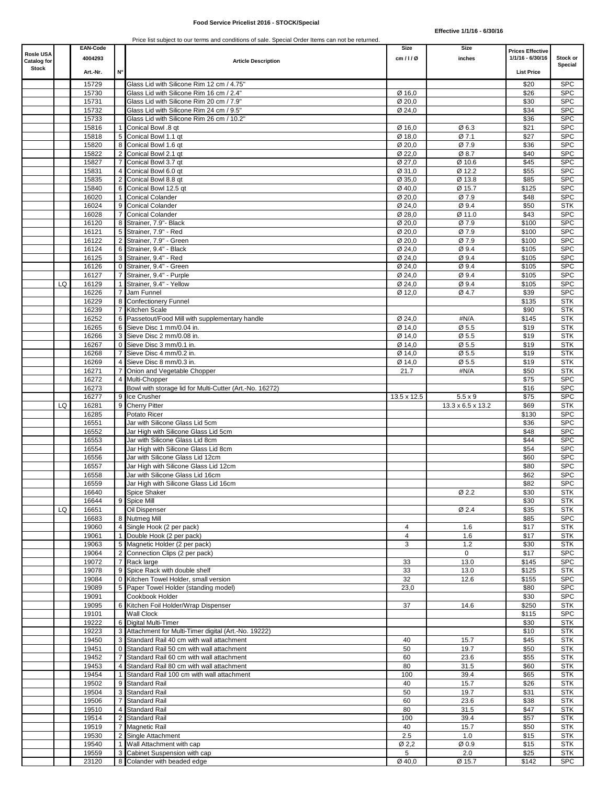### **Food Service Pricelist 2016 - STOCK/Special**

| Rosle USA<br>Catalog for |    | <b>EAN-Code</b><br>4004293 |                | <b>Article Description</b>                                              | Size<br>cm/1/Ø   | Size<br>inches    | <b>Prices Effective</b><br>1/1/16 - 6/30/16 | Stock or<br>Special      |
|--------------------------|----|----------------------------|----------------|-------------------------------------------------------------------------|------------------|-------------------|---------------------------------------------|--------------------------|
| <b>Stock</b>             |    | Art. Nr.                   | N°             |                                                                         |                  |                   | <b>List Price</b>                           |                          |
|                          |    | 15729                      |                | Glass Lid with Silicone Rim 12 cm / 4.75"                               |                  |                   | \$20                                        | <b>SPC</b>               |
|                          |    | 15730                      |                | Glass Lid with Silicone Rim 16 cm / 2.4"                                | Ø 16,0           |                   | \$26                                        | <b>SPC</b>               |
|                          |    | 15731                      |                | Glass Lid with Silicone Rim 20 cm / 7.9"                                | Ø 20,0           |                   | \$30                                        | <b>SPC</b>               |
|                          |    | 15732                      |                | Glass Lid with Silicone Rim 24 cm / 9.5"                                | Ø 24,0           |                   | \$34                                        | <b>SPC</b>               |
|                          |    | 15733                      |                | Glass Lid with Silicone Rim 26 cm / 10.2"                               |                  |                   | \$36                                        | <b>SPC</b>               |
|                          |    | 15816                      |                | 1 Conical Bowl .8 gt                                                    | Ø 16,0           | Ø6.3              | \$21                                        | <b>SPC</b>               |
|                          |    | 15818                      |                | 5 Conical Bowl 1.1 qt                                                   | Ø 18,0           | Ø 7.1             | \$27                                        | <b>SPC</b>               |
|                          |    | 15820                      |                | 8 Conical Bowl 1.6 qt                                                   | Ø 20,0           | Ø 7.9             | \$36                                        | <b>SPC</b>               |
|                          |    | 15822                      | 2              | Conical Bowl 2.1 qt                                                     | Ø 22,0<br>Ø 27,0 | Ø 8.7<br>Ø 10.6   | \$40                                        | <b>SPC</b><br><b>SPC</b> |
|                          |    | 15827<br>15831             |                | Conical Bowl 3.7 qt<br>Conical Bowl 6.0 qt                              | Ø 31,0           | Ø 12.2            | \$45<br>\$55                                | <b>SPC</b>               |
|                          |    | 15835                      |                | 2 Conical Bowl 8.8 gt                                                   | Ø 35,0           | Ø 13.8            | \$85                                        | <b>SPC</b>               |
|                          |    | 15840                      |                | 6 Conical Bowl 12.5 qt                                                  | Ø 40,0           | Ø 15.7            | \$125                                       | <b>SPC</b>               |
|                          |    | 16020                      |                | 1 Conical Colander                                                      | Ø 20,0           | Ø 7.9             | \$48                                        | <b>SPC</b>               |
|                          |    | 16024                      |                | 9 Conical Colander                                                      | Ø 24,0           | Ø 9.4             | \$50                                        | <b>STK</b>               |
|                          |    | 16028                      |                | 7 Conical Colander                                                      | Ø 28,0           | Ø 11.0            | \$43                                        | <b>SPC</b>               |
|                          |    | 16120                      |                | 8 Strainer, 7.9"- Black                                                 | Ø 20,0           | Ø 7.9             | \$100                                       | <b>SPC</b>               |
|                          |    | 16121                      |                | 5 Strainer, 7.9" - Red                                                  | Ø 20,0           | Ø 7.9             | \$100                                       | <b>SPC</b>               |
|                          |    | 16122                      |                | 2 Strainer, 7.9" - Green                                                | Ø 20,0           | Ø 7.9             | \$100                                       | <b>SPC</b>               |
|                          |    | 16124                      |                | 6 Strainer, 9.4" - Black                                                | Ø 24,0           | Ø 9.4             | \$105                                       | <b>SPC</b>               |
|                          |    | 16125                      |                | 3 Strainer, 9.4" - Red                                                  | Ø 24,0           | Ø 9.4             | \$105                                       | <b>SPC</b>               |
|                          |    | 16126                      |                | 0 Strainer, 9.4" - Green                                                | Ø 24,0           | Ø 9.4             | \$105                                       | <b>SPC</b>               |
|                          |    | 16127                      |                | Strainer, 9.4" - Purple                                                 | Ø 24,0           | Ø 9.4             | \$105                                       | <b>SPC</b>               |
|                          | LQ | 16129                      |                | Strainer, 9.4" - Yellow                                                 | Ø 24,0           | Ø 9.4             | \$105                                       | <b>SPC</b>               |
|                          |    | 16226                      | $\overline{7}$ | Jam Funnel                                                              | Ø 12,0           | Ø 4.7             | \$39                                        | <b>SPC</b>               |
|                          |    | 16229<br>16239             |                | 8 Confectionery Funnel<br>7 Kitchen Scale                               |                  |                   | \$135<br>\$90                               | <b>STK</b><br><b>STK</b> |
|                          |    | 16252                      |                | 6 Passetout/Food Mill with supplementary handle                         | Ø 24,0           | #N/A              | \$145                                       | <b>STK</b>               |
|                          |    | 16265                      |                | 6 Sieve Disc 1 mm/0.04 in.                                              | Ø 14,0           | Ø 5.5             | \$19                                        | <b>STK</b>               |
|                          |    | 16266                      |                | 3 Sieve Disc 2 mm/0.08 in.                                              | Ø 14,0           | Ø 5.5             | \$19                                        | <b>STK</b>               |
|                          |    | 16267                      |                | 0 Sieve Disc 3 mm/0.1 in.                                               | Ø 14,0           | Ø 5.5             | \$19                                        | <b>STK</b>               |
|                          |    | 16268                      |                | 7 Sieve Disc 4 mm/0.2 in.                                               | Ø 14,0           | Ø 5.5             | \$19                                        | <b>STK</b>               |
|                          |    | 16269                      |                | 4 Sieve Disc 8 mm/0.3 in.                                               | Ø 14,0           | Ø 5.5             | \$19                                        | <b>STK</b>               |
|                          |    | 16271                      |                | Onion and Vegetable Chopper                                             | 21.7             | #N/A              | \$50                                        | <b>STK</b>               |
|                          |    | 16272                      |                | 4 Multi-Chopper                                                         |                  |                   | \$75                                        | <b>SPC</b>               |
|                          |    | 16273                      |                | Bowl with storage lid for Multi-Cutter (Art.-No. 16272)                 |                  |                   | \$16                                        | <b>SPC</b>               |
|                          |    | 16277                      |                | 9 Ice Crusher                                                           | 13.5 x 12.5      | $5.5 \times 9$    | \$75                                        | <b>SPC</b>               |
|                          | LQ | 16281                      |                | 9 Cherry Pitter                                                         |                  | 13.3 x 6.5 x 13.2 | \$69                                        | <b>STK</b>               |
|                          |    | 16285                      |                | Potato Ricer                                                            |                  |                   | \$130                                       | <b>SPC</b>               |
|                          |    | 16551                      |                | Jar with Silicone Glass Lid 5cm                                         |                  |                   | \$36                                        | <b>SPC</b>               |
|                          |    | 16552                      |                | Jar High with Silicone Glass Lid 5cm                                    |                  |                   | \$48                                        | <b>SPC</b>               |
|                          |    | 16553<br>16554             |                | Jar with Silicone Glass Lid 8cm<br>Jar High with Silicone Glass Lid 8cm |                  |                   | \$44<br>\$54                                | <b>SPC</b><br><b>SPC</b> |
|                          |    | 16556                      |                | Jar with Silicone Glass Lid 12cm                                        |                  |                   | \$60                                        | <b>SPC</b>               |
|                          |    | 16557                      |                | Jar High with Silicone Glass Lid 12cm                                   |                  |                   | \$80                                        | <b>SPC</b>               |
|                          |    | 16558                      |                | Jar with Silicone Glass Lid 16cm                                        |                  |                   | \$62                                        | <b>SPC</b>               |
|                          |    | 16559                      |                | Jar High with Silicone Glass Lid 16cm                                   |                  |                   | \$82                                        | <b>SPC</b>               |
|                          |    | 16640                      |                | Spice Shaker                                                            |                  | Ø 2.2             | \$30                                        | <b>STK</b>               |
|                          |    | 16644                      |                | 9 Spice Mill                                                            |                  |                   | \$30                                        | <b>STK</b>               |
|                          | LQ | 16651                      |                | Oil Dispenser                                                           |                  | Ø 2.4             | \$35                                        | <b>STK</b>               |
|                          |    | 16683                      |                | 8 Nutmeg Mill                                                           |                  |                   | \$85                                        | <b>SPC</b>               |
|                          |    | 19060                      |                | 4 Single Hook (2 per pack)                                              | 4                | 1.6               | \$17                                        | <b>STK</b>               |
|                          |    | 19061                      |                | 1 Double Hook (2 per pack)                                              | 4                | 1.6               | \$17                                        | <b>STK</b>               |
|                          |    | 19063                      |                | 5 Magnetic Holder (2 per pack)                                          | 3                | 1.2               | \$30                                        | <b>STK</b>               |
|                          |    | 19064                      |                | 2 Connection Clips (2 per pack)                                         |                  | 0                 | \$17                                        | <b>SPC</b>               |
|                          |    | 19072                      |                | 7 Rack large<br>9 Spice Rack with double shelf                          | 33               | 13.0              | \$145                                       | <b>SPC</b>               |
|                          |    | 19078<br>19084             |                | 0 Kitchen Towel Holder, small version                                   | 33<br>32         | 13.0<br>12.6      | \$125<br>\$155                              | <b>STK</b><br><b>SPC</b> |
|                          |    | 19089                      |                | 5 Paper Towel Holder (standing model)                                   | 23,0             |                   | \$80                                        | <b>SPC</b>               |
|                          |    | 19091                      |                | Cookbook Holder                                                         |                  |                   | \$30                                        | <b>SPC</b>               |
|                          |    | 19095                      |                | 6 Kitchen Foil Holder/Wrap Dispenser                                    | 37               | 14.6              | \$250                                       | <b>STK</b>               |
|                          |    | 19101                      |                | <b>Wall Clock</b>                                                       |                  |                   | \$115                                       | <b>SPC</b>               |
|                          |    | 19222                      |                | 6 Digital Multi-Timer                                                   |                  |                   | \$30                                        | <b>STK</b>               |
|                          |    | 19223                      |                | 3 Attachment for Multi-Timer digital (Art.-No. 19222)                   |                  |                   | \$10                                        | <b>STK</b>               |
|                          |    | 19450                      |                | 3 Standard Rail 40 cm with wall attachment                              | 40               | 15.7              | \$45                                        | <b>STK</b>               |
|                          |    | 19451                      |                | 0 Standard Rail 50 cm with wall attachment                              | 50               | 19.7              | \$50                                        | <b>STK</b>               |
|                          |    | 19452                      |                | 7 Standard Rail 60 cm with wall attachment                              | 60               | 23.6              | \$55                                        | <b>STK</b>               |
|                          |    | 19453                      |                | 4 Standard Rail 80 cm with wall attachment                              | 80               | 31.5              | \$60                                        | <b>STK</b>               |
|                          |    |                            |                | 1 Standard Rail 100 cm with wall attachment                             | 100              | 39.4              | \$65                                        | <b>STK</b>               |
|                          |    | 19454                      |                |                                                                         | 40               | 15.7              | \$26                                        | <b>STK</b>               |
|                          |    | 19502                      |                | 9 Standard Rail                                                         |                  |                   |                                             |                          |
|                          |    | 19504                      |                | 3 Standard Rail                                                         | 50               | 19.7              | \$31                                        |                          |
|                          |    | 19506                      |                | 7 Standard Rail                                                         | 60               | 23.6              | \$38                                        | <b>STK</b>               |
|                          |    | 19510                      |                | 4 Standard Rail                                                         | 80               | 31.5              | \$47                                        | <b>STK</b>               |
|                          |    | 19514                      |                | 2 Standard Rail                                                         | 100              | 39.4              | \$57                                        | <b>STK</b>               |
|                          |    | 19519                      |                | 7 Magnetic Rail                                                         | 40               | 15.7              | \$50                                        | <b>STK</b><br><b>STK</b> |
|                          |    | 19530                      |                | 2 Single Attachment                                                     | 2.5              | 1.0               | \$15                                        | <b>STK</b>               |
|                          |    | 19540<br>19559             |                | 1 Wall Attachment with cap<br>3 Cabinet Suspension with cap             | Ø2,2<br>5        | Ø0.9<br>2.0       | \$15<br>\$25                                | <b>STK</b><br><b>STK</b> |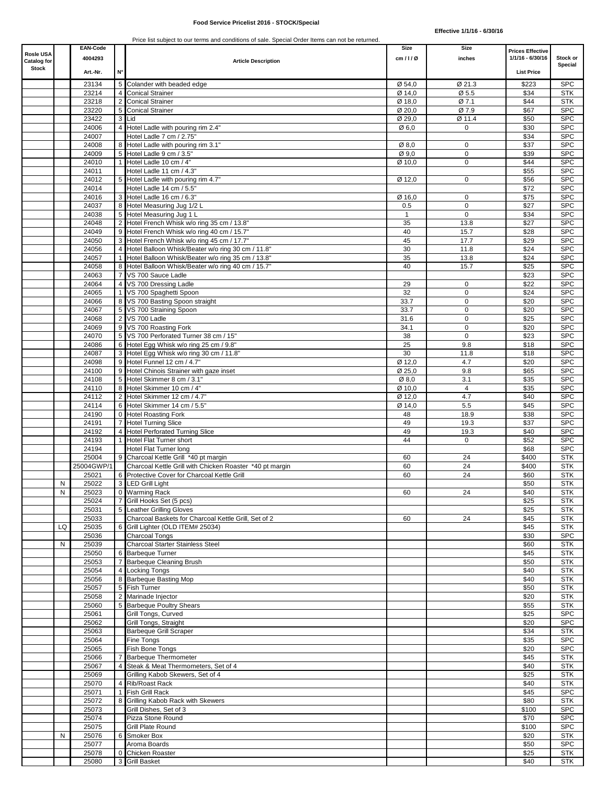| <b>Rosle USA</b>                   |    | <b>EAN-Code</b><br>4004293 |    |                                                                                                   | Size<br>cm/1/Ø   | Size<br>inches             | <b>Prices Effective</b><br>1/1/16 - 6/30/16 | Stock or                 |
|------------------------------------|----|----------------------------|----|---------------------------------------------------------------------------------------------------|------------------|----------------------------|---------------------------------------------|--------------------------|
| <b>Catalog for</b><br><b>Stock</b> |    | Art. Nr.                   | N° | <b>Article Description</b>                                                                        |                  |                            | <b>List Price</b>                           | Special                  |
|                                    |    |                            |    |                                                                                                   |                  |                            |                                             |                          |
|                                    |    | 23134<br>23214             |    | 5 Colander with beaded edge<br><b>Conical Strainer</b>                                            | Ø 54,0<br>Ø 14,0 | Ø 21.3<br>Ø 5.5            | \$223<br>\$34                               | <b>SPC</b><br><b>STK</b> |
|                                    |    | 23218                      |    | 2 Conical Strainer                                                                                | Ø 18,0           | Ø 7.1                      | \$44                                        | <b>STK</b>               |
|                                    |    | 23220                      |    | 5 Conical Strainer                                                                                | Ø 20,0           | Ø 7.9                      | \$67                                        | <b>SPC</b>               |
|                                    |    | 23422                      |    | 3 Lid                                                                                             | Ø 29,0           | Ø 11.4                     | \$50                                        | <b>SPC</b>               |
|                                    |    | 24006                      |    | 4 Hotel Ladle with pouring rim 2.4"                                                               | Ø6,0             | 0                          | \$30                                        | <b>SPC</b>               |
|                                    |    | 24007                      |    | Hotel Ladle 7 cm / 2.75"                                                                          |                  |                            | \$34                                        | <b>SPC</b>               |
|                                    |    | 24008                      |    | 8 Hotel Ladle with pouring rim 3.1"                                                               | Ø 8,0            | $\mathbf 0$                | \$37                                        | <b>SPC</b>               |
|                                    |    | 24009                      | 5  | Hotel Ladle 9 cm / 3.5"                                                                           | Ø 9,0            | $\mathbf 0$                | \$39                                        | <b>SPC</b>               |
|                                    |    | 24010                      |    | 1 Hotel Ladle 10 cm / 4"                                                                          | Ø 10,0           | $\mathbf 0$                | \$44                                        | <b>SPC</b>               |
|                                    |    | 24011                      |    | Hotel Ladle 11 cm / 4.3"                                                                          |                  |                            | \$55                                        | <b>SPC</b>               |
|                                    |    | 24012<br>24014             |    | 5 Hotel Ladle with pouring rim 4.7"                                                               | Ø 12,0           | 0                          | \$56                                        | <b>SPC</b><br><b>SPC</b> |
|                                    |    | 24016                      |    | Hotel Ladle 14 cm / 5.5"<br>3 Hotel Ladle 16 cm / 6.3"                                            | Ø 16,0           | $\mathbf 0$                | \$72<br>\$75                                | <b>SPC</b>               |
|                                    |    | 24037                      |    | 8 Hotel Measuring Jug 1/2 L                                                                       | 0.5              | $\mathbf 0$                | \$27                                        | <b>SPC</b>               |
|                                    |    | 24038                      |    | 5 Hotel Measuring Jug 1 L                                                                         | $\mathbf{1}$     | $\mathsf 0$                | \$34                                        | <b>SPC</b>               |
|                                    |    | 24048                      |    | 2 Hotel French Whisk w/o ring 35 cm / 13.8"                                                       | 35               | 13.8                       | \$27                                        | <b>SPC</b>               |
|                                    |    | 24049                      |    | 9 Hotel French Whisk w/o ring 40 cm / 15.7"                                                       | 40               | 15.7                       | \$28                                        | <b>SPC</b>               |
|                                    |    | 24050                      |    | 3 Hotel French Whisk w/o ring 45 cm / 17.7"                                                       | 45               | 17.7                       | \$29                                        | <b>SPC</b>               |
|                                    |    | 24056                      |    | 4 Hotel Balloon Whisk/Beater w/o ring 30 cm / 11.8"                                               | 30               | 11.8                       | \$24                                        | <b>SPC</b>               |
|                                    |    | 24057                      |    | 1 Hotel Balloon Whisk/Beater w/o ring 35 cm / 13.8"                                               | 35               | 13.8                       | \$24                                        | <b>SPC</b>               |
|                                    |    | 24058                      |    | 8 Hotel Balloon Whisk/Beater w/o ring 40 cm / 15.7"                                               | 40               | 15.7                       | \$25                                        | <b>SPC</b>               |
|                                    |    | 24063                      |    | 7 VS 700 Sauce Ladle                                                                              |                  |                            | \$23                                        | <b>SPC</b>               |
|                                    |    | 24064                      |    | 4 VS 700 Dressing Ladle                                                                           | 29               | 0                          | \$22                                        | <b>SPC</b>               |
|                                    |    | 24065                      |    | 1 VS 700 Spaghetti Spoon                                                                          | 32               | $\mathbf 0$                | \$24                                        | <b>SPC</b>               |
|                                    |    | 24066                      |    | 8 VS 700 Basting Spoon straight                                                                   | 33.7             | $\mathbf 0$                | \$20                                        | <b>SPC</b>               |
|                                    |    | 24067                      |    | 5 VS 700 Straining Spoon                                                                          | 33.7             | $\mathbf 0$                | \$20                                        | <b>SPC</b>               |
|                                    |    | 24068<br>24069             |    | 2 VS 700 Ladle<br>9 VS 700 Roasting Fork                                                          | 31.6<br>34.1     | $\mathbf 0$<br>$\mathbf 0$ | \$25<br>\$20                                | <b>SPC</b><br><b>SPC</b> |
|                                    |    | 24070                      |    | 5 VS 700 Perforated Turner 38 cm / 15"                                                            | 38               | $\mathbf 0$                | \$23                                        | <b>SPC</b>               |
|                                    |    | 24086                      |    | 6 Hotel Egg Whisk w/o ring 25 cm / 9.8'                                                           | 25               | 9.8                        | \$18                                        | <b>SPC</b>               |
|                                    |    | 24087                      |    | 3 Hotel Egg Whisk w/o ring 30 cm / 11.8"                                                          | 30               | 11.8                       | \$18                                        | <b>SPC</b>               |
|                                    |    | 24098                      |    | 9 Hotel Funnel 12 cm / 4.7"                                                                       | Ø 12,0           | 4.7                        | \$20                                        | <b>SPC</b>               |
|                                    |    | 24100                      |    | 9 Hotel Chinois Strainer with gaze inset                                                          | Ø 25,0           | 9.8                        | \$65                                        | <b>SPC</b>               |
|                                    |    | 24108                      |    | 5 Hotel Skimmer 8 cm / 3.1"                                                                       | Ø8,0             | 3.1                        | \$35                                        | <b>SPC</b>               |
|                                    |    | 24110                      |    | 8 Hotel Skimmer 10 cm / 4"                                                                        | Ø 10,0           | $\overline{4}$             | \$35                                        | <b>SPC</b>               |
|                                    |    | 24112                      |    | 2 Hotel Skimmer 12 cm / 4.7"                                                                      | Ø 12,0           | 4.7                        | \$40                                        | <b>SPC</b>               |
|                                    |    | 24114                      |    | 6 Hotel Skimmer 14 cm / 5.5"                                                                      | Ø 14,0           | 5.5                        | \$45                                        | <b>SPC</b>               |
|                                    |    | 24190                      |    | 0 Hotel Roasting Fork                                                                             | 48               | 18.9                       | \$38                                        | <b>SPC</b>               |
|                                    |    | 24191                      |    | 7 Hotel Turning Slice                                                                             | 49               | 19.3                       | \$37                                        | <b>SPC</b>               |
|                                    |    | 24192                      |    | 4 Hotel Perforated Turning Slice                                                                  | 49               | 19.3                       | \$40                                        | <b>SPC</b>               |
|                                    |    | 24193                      | 1  | <b>Hotel Flat Turner short</b>                                                                    | 44               | $\mathsf 0$                | \$52                                        | <b>SPC</b>               |
|                                    |    | 24194                      |    | Hotel Flat Turner long                                                                            |                  |                            | \$68                                        | <b>SPC</b>               |
|                                    |    | 25004<br>25004GWP/1        |    | 9 Charcoal Kettle Grill *40 pt margin<br>Charcoal Kettle Grill with Chicken Roaster *40 pt margin | 60<br>60         | 24<br>24                   | \$400<br>\$400                              | <b>STK</b><br><b>STK</b> |
|                                    |    | 25021                      |    | Protective Cover for Charcoal Kettle Grill                                                        | 60               | 24                         | \$60                                        | <b>STK</b>               |
|                                    | N  | 25022                      |    | 3 LED Grill Light                                                                                 |                  |                            | \$50                                        | <b>STK</b>               |
|                                    | N  | 25023                      |    | 0 Warming Rack                                                                                    | 60               | 24                         | \$40                                        | SIK                      |
|                                    |    | 25024                      |    | 7 Grill Hooks Set (5 pcs)                                                                         |                  |                            | \$25                                        | <b>STK</b>               |
|                                    |    | 25031                      |    | 5 Leather Grilling Gloves                                                                         |                  |                            | \$25                                        | <b>STK</b>               |
|                                    |    | 25033                      |    | Charcoal Baskets for Charcoal Kettle Grill, Set of 2                                              | 60               | 24                         | \$45                                        | <b>STK</b>               |
|                                    | LQ | 25035                      |    | 6 Grill Lighter (OLD ITEM# 25034)                                                                 |                  |                            | \$45                                        | <b>STK</b>               |
|                                    |    | 25036                      |    | Charcoal Tongs                                                                                    |                  |                            | \$30                                        | <b>SPC</b>               |
|                                    | Ν  | 25039                      |    | <b>Charcoal Starter Stainless Steel</b>                                                           |                  |                            | \$60                                        | <b>STK</b>               |
|                                    |    | 25050                      |    | 6 Barbeque Turner                                                                                 |                  |                            | \$45                                        | <b>STK</b>               |
|                                    |    | 25053<br>25054             |    | 7 Barbeque Cleaning Brush<br>4 Locking Tongs                                                      |                  |                            | \$50<br>\$40                                | <b>STK</b><br><b>STK</b> |
|                                    |    | 25056                      |    | 8 Barbeque Basting Mop                                                                            |                  |                            | \$40                                        | <b>STK</b>               |
|                                    |    | 25057                      |    | 5 Fish Turner                                                                                     |                  |                            | \$50                                        | <b>STK</b>               |
|                                    |    | 25058                      |    | 2 Marinade Injector                                                                               |                  |                            | \$20                                        | <b>STK</b>               |
|                                    |    | 25060                      |    | 5 Barbeque Poultry Shears                                                                         |                  |                            | \$55                                        | <b>STK</b>               |
|                                    |    | 25061                      |    | Grill Tongs, Curved                                                                               |                  |                            | \$25                                        | <b>SPC</b>               |
|                                    |    | 25062                      |    | Grill Tongs, Straight                                                                             |                  |                            | \$20                                        | <b>SPC</b>               |
|                                    |    | 25063                      |    | <b>Barbeque Grill Scraper</b>                                                                     |                  |                            | \$34                                        | <b>STK</b>               |
|                                    |    | 25064                      |    | Fine Tongs                                                                                        |                  |                            | \$35                                        | <b>SPC</b>               |
|                                    |    | 25065                      |    | Fish Bone Tongs                                                                                   |                  |                            | \$20                                        | <b>SPC</b>               |
|                                    |    | 25066                      |    | 7 Barbeque Thermometer                                                                            |                  |                            | \$45                                        | <b>STK</b>               |
|                                    |    | 25067                      |    | 4 Steak & Meat Thermometers, Set of 4                                                             |                  |                            | \$40                                        | <b>STK</b>               |
|                                    |    | 25069                      |    | Grilling Kabob Skewers, Set of 4                                                                  |                  |                            | \$25                                        | <b>STK</b>               |
|                                    |    | 25070                      |    | 4 Rib/Roast Rack                                                                                  |                  |                            | \$40                                        | <b>STK</b>               |
|                                    |    | 25071                      |    | 1 Fish Grill Rack<br>8 Grilling Kabob Rack with Skewers                                           |                  |                            | \$45                                        | <b>SPC</b><br><b>STK</b> |
|                                    |    | 25072<br>25073             |    | Grill Dishes, Set of 3                                                                            |                  |                            | \$80<br>\$100                               | <b>SPC</b>               |
|                                    |    | 25074                      |    | Pizza Stone Round                                                                                 |                  |                            | \$70                                        | <b>SPC</b>               |
|                                    |    | 25075                      |    | Grill Plate Round                                                                                 |                  |                            | \$100                                       | <b>SPC</b>               |
|                                    | N  | 25076                      |    | 6 Smoker Box                                                                                      |                  |                            | \$20                                        | <b>STK</b>               |
|                                    |    | 25077                      |    | Aroma Boards                                                                                      |                  |                            | \$50                                        | <b>SPC</b>               |
|                                    |    | 25078                      |    | 0 Chicken Roaster                                                                                 |                  |                            | \$25                                        | <b>STK</b>               |
|                                    |    | 25080                      |    | 3 Grill Basket                                                                                    |                  |                            | \$40                                        | <b>STK</b>               |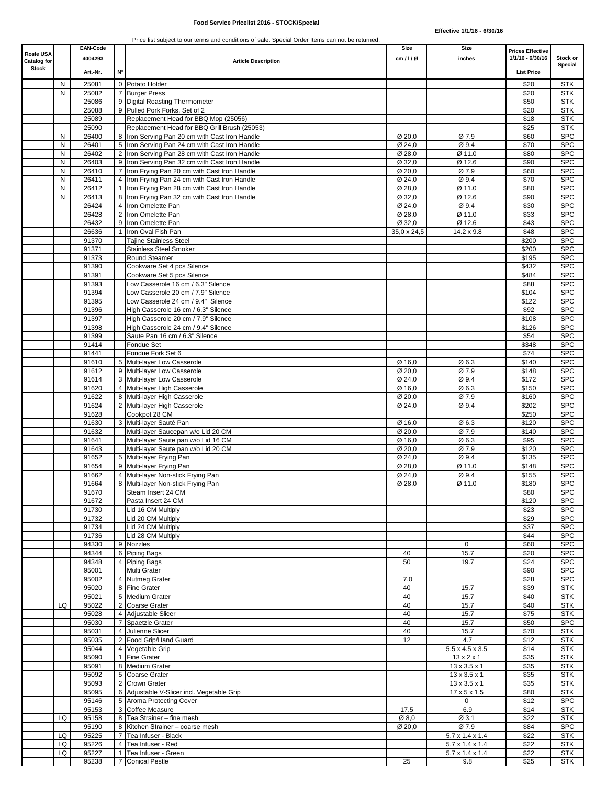| <b>Rosle USA</b><br><b>Catalog for</b> |        | <b>EAN-Code</b><br>4004293 |                | <b>Article Description</b>                                                                  | Size<br>cm/1/Ø      | Size<br>inches                                        | <b>Prices Effective</b><br>1/1/16 - 6/30/16 | Stock or                 |
|----------------------------------------|--------|----------------------------|----------------|---------------------------------------------------------------------------------------------|---------------------|-------------------------------------------------------|---------------------------------------------|--------------------------|
| <b>Stock</b>                           |        | Art.-Nr.                   | N°             |                                                                                             |                     |                                                       | <b>List Price</b>                           | Special                  |
|                                        | Ν      | 25081                      |                | 0 Potato Holder                                                                             |                     |                                                       | \$20                                        | <b>STK</b>               |
|                                        | N      | 25082                      |                | <b>Burger Press</b>                                                                         |                     |                                                       | \$20                                        | <b>STK</b>               |
|                                        |        | 25086                      |                | 9 Digital Roasting Thermometer                                                              |                     |                                                       | \$50                                        | <b>STK</b>               |
|                                        |        | 25088<br>25089             |                | 9 Pulled Pork Forks, Set of 2<br>Replacement Head for BBQ Mop (25056)                       |                     |                                                       | \$20<br>\$18                                | <b>STK</b><br><b>STK</b> |
|                                        |        | 25090                      |                | Replacement Head for BBQ Grill Brush (25053)                                                |                     |                                                       | \$25                                        | <b>STK</b>               |
|                                        | N      | 26400                      | 8              | Iron Serving Pan 20 cm with Cast Iron Handle                                                | Ø 20,0              | Ø 7.9                                                 | \$60                                        | <b>SPC</b>               |
|                                        | N      | 26401                      | 5 <sup>1</sup> | Iron Serving Pan 24 cm with Cast Iron Handle                                                | Ø 24,0              | Ø 9.4                                                 | \$70                                        | <b>SPC</b>               |
|                                        | Ν      | 26402                      | 2              | Iron Serving Pan 28 cm with Cast Iron Handle                                                | Ø 28,0              | Ø 11.0                                                | \$80                                        | <b>SPC</b>               |
|                                        | N<br>Ν | 26403<br>26410             | 9<br>7         | Iron Serving Pan 32 cm with Cast Iron Handle<br>Iron Frying Pan 20 cm with Cast Iron Handle | Ø 32,0<br>Ø 20,0    | Ø 12.6<br>Ø 7.9                                       | \$90<br>\$60                                | <b>SPC</b><br><b>SPC</b> |
|                                        | N      | 26411                      | $\overline{4}$ | Iron Frying Pan 24 cm with Cast Iron Handle                                                 | Ø 24,0              | Ø 9.4                                                 | \$70                                        | <b>SPC</b>               |
|                                        | N      | 26412                      |                | Iron Frying Pan 28 cm with Cast Iron Handle                                                 | Ø 28,0              | Ø 11.0                                                | \$80                                        | <b>SPC</b>               |
|                                        | N      | 26413                      | 8              | Iron Frying Pan 32 cm with Cast Iron Handle                                                 | $Q \overline{32,0}$ | Ø 12.6                                                | \$90                                        | <b>SPC</b>               |
|                                        |        | 26424                      | 4              | Iron Omelette Pan                                                                           | Ø 24,0              | Ø 9.4                                                 | \$30                                        | <b>SPC</b>               |
|                                        |        | 26428<br>26432             |                | 2 Iron Omelette Pan<br>9 Iron Omelette Pan                                                  | Ø 28,0<br>Ø 32,0    | Ø 11.0<br>Ø 12.6                                      | \$33<br>\$43                                | <b>SPC</b><br><b>SPC</b> |
|                                        |        | 26636                      | $\mathbf{1}$   | Iron Oval Fish Pan                                                                          | 35,0 x 24,5         | $14.2 \times 9.8$                                     | \$48                                        | <b>SPC</b>               |
|                                        |        | 91370                      |                | <b>Tajine Stainless Steel</b>                                                               |                     |                                                       | \$200                                       | <b>SPC</b>               |
|                                        |        | 91371                      |                | <b>Stainless Steel Smoker</b>                                                               |                     |                                                       | \$200                                       | <b>SPC</b>               |
|                                        |        | 91373                      |                | Round Steamer                                                                               |                     |                                                       | \$195                                       | <b>SPC</b>               |
|                                        |        | 91390<br>91391             |                | Cookware Set 4 pcs Silence<br>Cookware Set 5 pcs Silence                                    |                     |                                                       | \$432                                       | <b>SPC</b><br><b>SPC</b> |
|                                        |        | 91393                      |                | Low Casserole 16 cm / 6.3" Silence                                                          |                     |                                                       | \$484<br>\$88                               | <b>SPC</b>               |
|                                        |        | 91394                      |                | Low Casserole 20 cm / 7.9" Silence                                                          |                     |                                                       | \$104                                       | <b>SPC</b>               |
|                                        |        | 91395                      |                | Low Casserole 24 cm / 9.4" Silence                                                          |                     |                                                       | \$122                                       | <b>SPC</b>               |
|                                        |        | 91396                      |                | High Casserole 16 cm / 6.3" Silence                                                         |                     |                                                       | \$92                                        | <b>SPC</b>               |
|                                        |        | 91397                      |                | High Casserole 20 cm / 7.9" Silence                                                         |                     |                                                       | \$108                                       | <b>SPC</b>               |
|                                        |        | 91398<br>91399             |                | High Casserole 24 cm / 9.4" Silence<br>Saute Pan 16 cm / 6.3" Silence                       |                     |                                                       | \$126<br>\$54                               | <b>SPC</b><br><b>SPC</b> |
|                                        |        | 91414                      |                | Fondue Set                                                                                  |                     |                                                       | \$348                                       | <b>SPC</b>               |
|                                        |        | 91441                      |                | Fondue Fork Set 6                                                                           |                     |                                                       | \$74                                        | <b>SPC</b>               |
|                                        |        | 91610                      |                | 5 Multi-layer Low Casserole                                                                 | Ø 16,0              | Ø6.3                                                  | \$140                                       | <b>SPC</b>               |
|                                        |        | 91612                      |                | 9 Multi-layer Low Casserole                                                                 | Ø 20,0              | Ø 7.9                                                 | \$148                                       | <b>SPC</b>               |
|                                        |        | 91614<br>91620             |                | 3 Multi-layer Low Casserole<br>4 Multi-layer High Casserole                                 | Ø 24,0<br>Ø 16,0    | Ø9.4<br>Ø6.3                                          | \$172<br>\$150                              | <b>SPC</b><br><b>SPC</b> |
|                                        |        | 91622                      |                | 8 Multi-layer High Casserole                                                                | Ø 20,0              | Ø 7.9                                                 | \$160                                       | <b>SPC</b>               |
|                                        |        | 91624                      |                | 2 Multi-layer High Casserole                                                                | Ø 24,0              | Ø 9.4                                                 | \$202                                       | <b>SPC</b>               |
|                                        |        | 91628                      |                | Cookpot 28 CM                                                                               |                     |                                                       | \$250                                       | <b>SPC</b>               |
|                                        |        | 91630                      |                | 3 Multi-layer Sauté Pan                                                                     | Ø 16,0              | Ø6.3                                                  | \$120                                       | <b>SPC</b>               |
|                                        |        | 91632<br>91641             |                | Multi-layer Saucepan w/o Lid 20 CM<br>Multi-layer Saute pan w/o Lid 16 CM                   | Ø 20,0<br>Ø 16,0    | Ø 7.9<br>Ø6.3                                         | \$140<br>\$95                               | <b>SPC</b><br><b>SPC</b> |
|                                        |        | 91643                      |                | Multi-layer Saute pan w/o Lid 20 CM                                                         | Ø 20,0              | Ø 7.9                                                 | \$120                                       | <b>SPC</b>               |
|                                        |        | 91652                      |                | 5 Multi-layer Frying Pan                                                                    | Ø 24,0              | Ø 9.4                                                 | \$135                                       | <b>SPC</b>               |
|                                        |        | 91654                      |                | 9 Multi-layer Frying Pan                                                                    | Ø 28,0              | Ø 11.0                                                | \$148                                       | <b>SPC</b>               |
|                                        |        | 91662                      |                | 4 Multi-layer Non-stick Frying Pan                                                          | Ø 24,0              | Ø 9.4                                                 | \$155                                       | <b>SPC</b>               |
|                                        |        | 91664                      |                | 8 Multi-layer Non-stick Frying Pan                                                          | Ø 28,0              | Ø 11.0                                                | \$180                                       | <b>SPC</b>               |
|                                        |        | 91670<br>91672             |                | Steam Insert 24 CM<br>Pasta Insert 24 CM                                                    |                     |                                                       | \$80<br>\$120                               | <b>SPC</b><br><b>SPC</b> |
|                                        |        | 91730                      |                | Lid 16 CM Multiply                                                                          |                     |                                                       | \$23                                        | <b>SPC</b>               |
|                                        |        | 91732                      |                | Lid 20 CM Multiply                                                                          |                     |                                                       | \$29                                        | <b>SPC</b>               |
|                                        |        | 91734                      |                | Lid 24 CM Multiply                                                                          |                     |                                                       | \$37                                        | <b>SPC</b>               |
|                                        |        | 91736                      |                | Lid 28 CM Multiply                                                                          |                     |                                                       | \$44                                        | <b>SPC</b>               |
|                                        |        | 94330<br>94344             | 9 <sub>o</sub> | Nozzles<br>6 Piping Bags                                                                    | 40                  | $\mathbf 0$<br>15.7                                   | \$60<br>\$20                                | <b>SPC</b><br><b>SPC</b> |
|                                        |        | 94348                      |                | 4 Piping Bags                                                                               | 50                  | 19.7                                                  | \$24                                        | <b>SPC</b>               |
|                                        |        | 95001                      |                | Multi Grater                                                                                |                     |                                                       | \$90                                        | <b>SPC</b>               |
|                                        |        | 95002                      |                | 4 Nutmeg Grater                                                                             | 7,0                 |                                                       | \$28                                        | <b>SPC</b>               |
|                                        |        | 95020<br>95021             |                | 8 Fine Grater<br>5 Medium Grater                                                            | 40<br>40            | 15.7<br>15.7                                          | \$39<br>\$40                                | <b>STK</b><br><b>STK</b> |
|                                        | LQ     | 95022                      |                | 2 Coarse Grater                                                                             | 40                  | 15.7                                                  | \$40                                        | <b>STK</b>               |
|                                        |        | 95028                      |                | 4 Adjustable Slicer                                                                         | 40                  | 15.7                                                  | \$75                                        | <b>STK</b>               |
|                                        |        | 95030                      | 7              | Spaetzle Grater                                                                             | 40                  | 15.7                                                  | \$50                                        | <b>SPC</b>               |
|                                        |        | 95031                      | $\overline{4}$ | Julienne Slicer                                                                             | 40                  | 15.7                                                  | \$70                                        | <b>STK</b>               |
|                                        |        | 95035                      |                | 2 Food Grip/Hand Guard                                                                      | 12                  | 4.7                                                   | \$12                                        | <b>STK</b>               |
|                                        |        | 95044<br>95090             |                | 4 Vegetable Grip<br>1 Fine Grater                                                           |                     | $5.5 \times 4.5 \times 3.5$<br>$13 \times 2 \times 1$ | \$14<br>\$35                                | <b>STK</b><br><b>STK</b> |
|                                        |        | 95091                      |                | 8 Medium Grater                                                                             |                     | $13 \times 3.5 \times 1$                              | \$35                                        | <b>STK</b>               |
|                                        |        | 95092                      |                | 5 Coarse Grater                                                                             |                     | $13 \times 3.5 \times 1$                              | \$35                                        | <b>STK</b>               |
|                                        |        | 95093                      |                | 2 Crown Grater                                                                              |                     | $13 \times 3.5 \times 1$                              | \$35                                        | <b>STK</b>               |
|                                        |        | 95095                      |                | 6 Adjustable V-Slicer incl. Vegetable Grip                                                  |                     | $17 \times 5 \times 1.5$                              | \$80                                        | <b>STK</b>               |
|                                        |        | 95146<br>95153             | 5 <sub>5</sub> | Aroma Protecting Cover<br>3 Coffee Measure                                                  | 17.5                | 0<br>6.9                                              | \$12<br>\$14                                | <b>SPC</b><br><b>STK</b> |
|                                        | LQ     | 95158                      |                | 8 Tea Strainer - fine mesh                                                                  | Ø 8,0               | Ø 3.1                                                 | \$22                                        | <b>STK</b>               |
|                                        |        | 95190                      |                | 8 Kitchen Strainer - coarse mesh                                                            | Ø 20,0              | Ø 7.9                                                 | \$84                                        | <b>SPC</b>               |
|                                        | LQ     | 95225                      | 7              | Tea Infuser - Black                                                                         |                     | 5.7 x 1.4 x 1.4                                       | \$22                                        | <b>STK</b>               |
|                                        | LQ     | 95226                      | 4              | Tea Infuser - Red                                                                           |                     | 5.7 x 1.4 x 1.4                                       | \$22                                        | <b>STK</b>               |
|                                        | LQ     | 95227<br>95238             |                | Tea Infuser - Green<br><b>Conical Pestle</b>                                                | 25                  | 5.7 x 1.4 x 1.4<br>9.8                                | \$22<br>\$25                                | <b>STK</b><br><b>STK</b> |
|                                        |        |                            |                |                                                                                             |                     |                                                       |                                             |                          |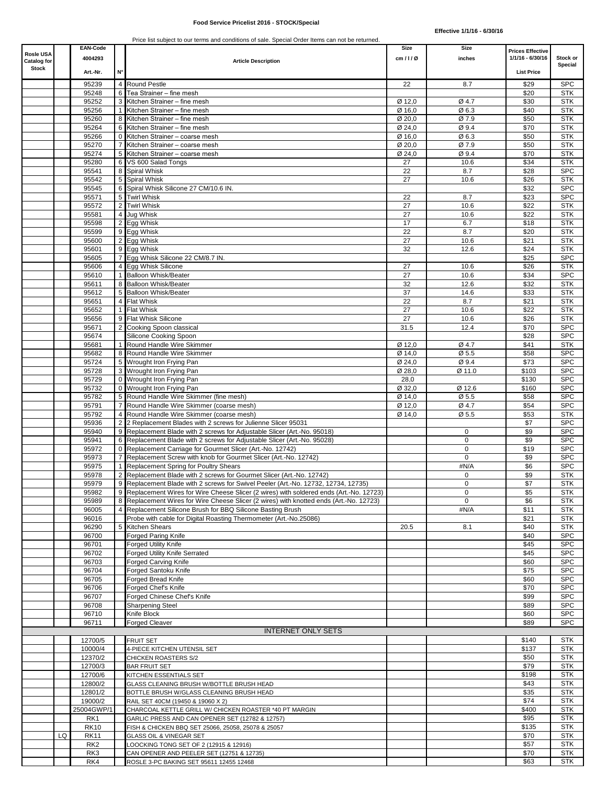### **Food Service Pricelist 2016 - STOCK/Special**

|                          |    | <b>EAN-Code</b>       |                |                                                                                                                                                      | Size                        | Size        | <b>Prices Effective</b> |                          |
|--------------------------|----|-----------------------|----------------|------------------------------------------------------------------------------------------------------------------------------------------------------|-----------------------------|-------------|-------------------------|--------------------------|
| Rosle USA<br>Catalog for |    | 4004293               |                | <b>Article Description</b>                                                                                                                           | cm/1/Ø                      | inches      | 1/1/16 - 6/30/16        | Stock or                 |
| <b>Stock</b>             |    | Art.-Nr.              | N۰             |                                                                                                                                                      |                             |             | <b>List Price</b>       | Special                  |
|                          |    | 95239                 |                | 4 Round Pestle                                                                                                                                       | 22                          | 8.7         | \$29                    | <b>SPC</b>               |
|                          |    | 95248                 |                | 6 Tea Strainer - fine mesh                                                                                                                           |                             |             | \$20                    | <b>STK</b>               |
|                          |    | 95252                 |                | 3 Kitchen Strainer - fine mesh                                                                                                                       | Ø 12,0                      | Ø 4.7       | \$30                    | <b>STK</b>               |
|                          |    | 95256                 |                | 1 Kitchen Strainer - fine mesh                                                                                                                       | $\overline{\emptyset}$ 16,0 | Ø6.3        | \$40                    | <b>STK</b>               |
|                          |    | 95260                 |                | 8 Kitchen Strainer - fine mesh                                                                                                                       | Ø 20,0                      | Ø 7.9       | \$50                    | <b>STK</b>               |
|                          |    | 95264                 |                | 6 Kitchen Strainer - fine mesh                                                                                                                       | Ø 24,0                      | Ø 9.4       | \$70                    | <b>STK</b>               |
|                          |    | 95266                 |                | 0 Kitchen Strainer - coarse mesh                                                                                                                     | Ø 16,0                      | Ø 6.3       | \$50                    | <b>STK</b>               |
|                          |    | 95270                 |                | 7 Kitchen Strainer - coarse mesh                                                                                                                     | Ø 20,0                      | Ø 7.9       | \$50                    | <b>STK</b>               |
|                          |    | 95274                 |                | 5 Kitchen Strainer - coarse mesh                                                                                                                     | Ø 24,0                      | Ø 9.4       | \$70                    | <b>STK</b>               |
|                          |    | 95280                 |                | 6 VS 600 Salad Tongs                                                                                                                                 | 27                          | 10.6        | \$34                    | <b>STK</b>               |
|                          |    | 95541<br>95542        |                | 8 Spiral Whisk<br>5 Spiral Whisk                                                                                                                     | 22<br>27                    | 8.7<br>10.6 | \$28<br>\$26            | <b>SPC</b><br><b>STK</b> |
|                          |    | 95545                 |                | 6 Spiral Whisk Silicone 27 CM/10.6 IN.                                                                                                               |                             |             | \$32                    | <b>SPC</b>               |
|                          |    | 95571                 |                | 5 Twirl Whisk                                                                                                                                        | 22                          | 8.7         | \$23                    | <b>SPC</b>               |
|                          |    | 95572                 |                | 2 Twirl Whisk                                                                                                                                        | 27                          | 10.6        | \$22                    | <b>STK</b>               |
|                          |    | 95581                 | 4 <sup>1</sup> | Jug Whisk                                                                                                                                            | 27                          | 10.6        | \$22                    | <b>STK</b>               |
|                          |    | 95598                 |                | 2 Egg Whisk                                                                                                                                          | 17                          | 6.7         | \$18                    | <b>STK</b>               |
|                          |    | 95599                 |                | 9 Egg Whisk                                                                                                                                          | 22                          | 8.7         | \$20                    | <b>STK</b>               |
|                          |    | 95600                 |                | 2 Egg Whisk                                                                                                                                          | 27                          | 10.6        | \$21                    | <b>STK</b>               |
|                          |    | 95601                 |                | 9 Eqq Whisk                                                                                                                                          | 32                          | 12.6        | \$24                    | <b>STK</b>               |
|                          |    | 95605                 |                | 7 Egg Whisk Silicone 22 CM/8.7 IN.                                                                                                                   |                             |             | \$25                    | <b>SPC</b>               |
|                          |    | 95606                 |                | 4 Egg Whisk Silicone                                                                                                                                 | 27                          | 10.6        | \$26                    | <b>STK</b>               |
|                          |    | 95610                 |                | 1 Balloon Whisk/Beater                                                                                                                               | 27                          | 10.6        | \$34                    | <b>SPC</b>               |
|                          |    | 95611                 |                | 8 Balloon Whisk/Beater                                                                                                                               | 32                          | 12.6        | \$32                    | <b>STK</b>               |
|                          |    | 95612<br>95651        |                | 5 Balloon Whisk/Beater<br>4 Flat Whisk                                                                                                               | 37<br>22                    | 14.6<br>8.7 | \$33<br>\$21            | <b>STK</b><br><b>STK</b> |
|                          |    | 95652                 |                | 1 Flat Whisk                                                                                                                                         | 27                          | 10.6        | \$22                    | <b>STK</b>               |
|                          |    | 95656                 |                | 9 Flat Whisk Silicone                                                                                                                                | 27                          | 10.6        | \$26                    | <b>STK</b>               |
|                          |    | 95671                 |                | 2 Cooking Spoon classical                                                                                                                            | 31.5                        | 12.4        | \$70                    | <b>SPC</b>               |
|                          |    | 95674                 |                | Silicone Cooking Spoon                                                                                                                               |                             |             | \$28                    | <b>SPC</b>               |
|                          |    | 95681                 |                | Round Handle Wire Skimmer                                                                                                                            | Ø 12,0                      | Ø 4.7       | \$41                    | <b>STK</b>               |
|                          |    | 95682                 |                | 8 Round Handle Wire Skimmer                                                                                                                          | Ø 14,0                      | Ø 5.5       | \$58                    | <b>SPC</b>               |
|                          |    | 95724                 |                | 5 Wrought Iron Frying Pan                                                                                                                            | Ø 24,0                      | Ø 9.4       | \$73                    | <b>SPC</b>               |
|                          |    | 95728                 |                | 3 Wrought Iron Frying Pan                                                                                                                            | Ø 28,0                      | Ø 11.0      | \$103                   | <b>SPC</b>               |
|                          |    | 95729                 |                | 0 Wrought Iron Frying Pan                                                                                                                            | 28,0                        |             | \$130                   | <b>SPC</b>               |
|                          |    | 95732                 |                | 0 Wrought Iron Frying Pan                                                                                                                            | Ø 32,0                      | Ø 12.6      | \$160                   | <b>SPC</b>               |
|                          |    | 95782                 |                | 5 Round Handle Wire Skimmer (fine mesh)                                                                                                              | Ø 14,0                      | Ø 5.5       | \$58                    | <b>SPC</b>               |
|                          |    | 95791                 |                | 7 Round Handle Wire Skimmer (coarse mesh)                                                                                                            | Ø 12,0                      | Ø 4.7       | \$54                    | <b>SPC</b>               |
|                          |    | 95792                 |                | 4 Round Handle Wire Skimmer (coarse mesh)                                                                                                            | Ø 14,0                      | Ø 5.5       | \$53                    | <b>STK</b>               |
|                          |    | 95936                 |                | 2 2 Replacement Blades with 2 screws for Julienne Slicer 95031                                                                                       |                             |             | \$7                     | <b>SPC</b>               |
|                          |    | 95940<br>95941        |                | 9 Replacement Blade with 2 screws for Adjustable Slicer (Art.-No. 95018)<br>6 Replacement Blade with 2 screws for Adjustable Slicer (Art.-No. 95028) |                             | 0<br>0      | \$9<br>\$9              | <b>SPC</b><br><b>SPC</b> |
|                          |    | 95972                 |                | 0 Replacement Carriage for Gourmet Slicer (Art.-No. 12742)                                                                                           |                             | 0           | \$19                    | <b>SPC</b>               |
|                          |    | 95973                 |                | 7 Replacement Screw with knob for Gourmet Slicer (Art.-No. 12742)                                                                                    |                             | $\mathbf 0$ | \$9                     | <b>SPC</b>               |
|                          |    | 95975                 |                | 1 Replacement Spring for Poultry Shears                                                                                                              |                             | #N/A        | \$6                     | <b>SPC</b>               |
|                          |    | 95978                 |                | 2 Replacement Blade with 2 screws for Gourmet Slicer (Art.-No. 12742)                                                                                |                             | $\mathbf 0$ | \$9                     | <b>STK</b>               |
|                          |    | 95979                 |                | 9 Replacement Blade with 2 screws for Swivel Peeler (Art.-No. 12732, 12734, 12735)                                                                   |                             | 0           | \$7                     | STK                      |
|                          |    | 95982                 |                | 9 Replacement Wires for Wire Cheese Slicer (2 wires) with soldered ends (Art.-No. 12723)                                                             |                             | $\mathbf 0$ | \$5                     | <b>STK</b>               |
|                          |    | 95989                 |                | 8 Replacement Wires for Wire Cheese Slicer (2 wires) with knotted ends (Art.-No. 12723)                                                              |                             | $\mathbf 0$ | \$6                     | <b>STK</b>               |
|                          |    | 96005                 |                | Replacement Silicone Brush for BBQ Silicone Basting Brush                                                                                            |                             | #N/A        | \$11                    | <b>STK</b>               |
|                          |    | 96016                 |                | Probe with cable for Digital Roasting Thermometer (Art.-No.25086)                                                                                    |                             |             | \$21                    | <b>STK</b>               |
|                          |    | 96290                 |                | 5 Kitchen Shears                                                                                                                                     | 20.5                        | 8.1         | \$40                    | <b>STK</b>               |
|                          |    | 96700                 |                | <b>Forged Paring Knife</b>                                                                                                                           |                             |             | \$40                    | <b>SPC</b>               |
|                          |    | 96701                 |                | Forged Utility Knife                                                                                                                                 |                             |             | \$45                    | <b>SPC</b>               |
|                          |    | 96702                 |                | <b>Forged Utility Knife Serrated</b>                                                                                                                 |                             |             | \$45                    | <b>SPC</b><br><b>SPC</b> |
|                          |    | 96703<br>96704        |                | <b>Forged Carving Knife</b><br>Forged Santoku Knife                                                                                                  |                             |             | \$60<br>\$75            | <b>SPC</b>               |
|                          |    | 96705                 |                | Forged Bread Knife                                                                                                                                   |                             |             | \$60                    | <b>SPC</b>               |
|                          |    | 96706                 |                | Forged Chef's Knife                                                                                                                                  |                             |             | \$70                    | <b>SPC</b>               |
|                          |    | 96707                 |                | Forged Chinese Chef's Knife                                                                                                                          |                             |             | \$99                    | <b>SPC</b>               |
|                          |    | 96708                 |                | <b>Sharpening Steel</b>                                                                                                                              |                             |             | \$89                    | <b>SPC</b>               |
|                          |    | 96710                 |                | Knife Block                                                                                                                                          |                             |             | \$60                    | <b>SPC</b>               |
|                          |    | 96711                 |                | <b>Forged Cleaver</b>                                                                                                                                |                             |             | \$89                    | <b>SPC</b>               |
|                          |    |                       |                | <b>INTERNET ONLY SETS</b>                                                                                                                            |                             |             |                         |                          |
|                          |    | 12700/5               |                | <b>FRUIT SET</b>                                                                                                                                     |                             |             | \$140                   | <b>STK</b>               |
|                          |    | 10000/4               |                | 4-PIECE KITCHEN UTENSIL SET                                                                                                                          |                             |             | \$137                   | <b>STK</b>               |
|                          |    | 12370/2               |                | CHICKEN ROASTERS S/2                                                                                                                                 |                             |             | \$50                    | <b>STK</b>               |
|                          |    | 12700/3               |                | <b>BAR FRUIT SET</b>                                                                                                                                 |                             |             | \$79                    | <b>STK</b>               |
|                          |    | 12700/6               |                | KITCHEN ESSENTIALS SET                                                                                                                               |                             |             | \$198                   | <b>STK</b>               |
|                          |    | 12800/2               |                | GLASS CLEANING BRUSH W/BOTTLE BRUSH HEAD                                                                                                             |                             |             | \$43                    | <b>STK</b>               |
|                          |    | 12801/2               |                | BOTTLE BRUSH W/GLASS CLEANING BRUSH HEAD                                                                                                             |                             |             | \$35                    | <b>STK</b>               |
|                          |    | 19000/2<br>25004GWP/1 |                | RAIL SET 40CM (19450 & 19060 X 2)<br>CHARCOAL KETTLE GRILL W/ CHICKEN ROASTER *40 PT MARGIN                                                          |                             |             | \$74<br>\$400           | <b>STK</b><br><b>STK</b> |
|                          |    | RK1                   |                | GARLIC PRESS AND CAN OPENER SET (12782 & 12757)                                                                                                      |                             |             | \$95                    | <b>STK</b>               |
|                          |    | <b>RK10</b>           |                | FISH & CHICKEN BBQ SET 25066, 25058, 25078 & 25057                                                                                                   |                             |             | \$135                   | <b>STK</b>               |
|                          | LQ | <b>RK11</b>           |                | GLASS OIL & VINEGAR SET                                                                                                                              |                             |             | \$70                    | <b>STK</b>               |
|                          |    | RK <sub>2</sub>       |                | LOOCKING TONG SET OF 2 (12915 & 12916)                                                                                                               |                             |             | \$57                    | <b>STK</b>               |
|                          |    | RK3                   |                | CAN OPENER AND PEELER SET (12751 & 12735)                                                                                                            |                             |             | \$70                    | <b>STK</b>               |
|                          |    | RK4                   |                | ROSLE 3-PC BAKING SET 95611 12455 12468                                                                                                              |                             |             | \$63                    | <b>STK</b>               |